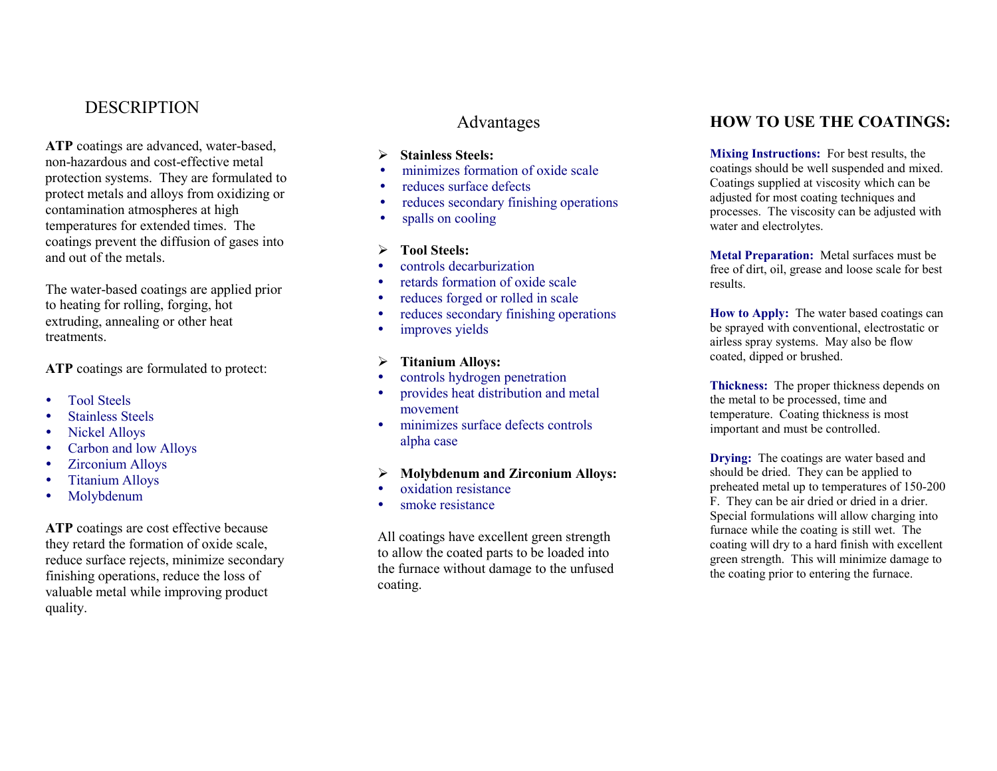# **DESCRIPTION**

ATP coatings are advanced, water-based, non-hazardous and cost-effective metal protection systems. They are formulated to protect metals and alloys from oxidizing or contamination atmospheres at high temperatures for extended times. The coatings prevent the diffusion of gases into and out of the metals.

The water-based coatings are applied prior to heating for rolling, forging, hot extruding, annealing or other heat treatments.

ATP coatings are formulated to protect:

- Tool Steels
- Stainless Steels
- Nickel Alloys
- Carbon and low Alloys
- Zirconium Alloys
- Titanium Alloys
- Molybdenum

ATP coatings are cost effective because they retard the formation of oxide scale, reduce surface rejects, minimize secondary finishing operations, reduce the loss of valuable metal while improving product quality.

## Advantages

- Stainless Steels:
- minimizes formation of oxide scale
- reduces surface defects
- reduces secondary finishing operations
- spalls on cooling
- $\triangleright$  Tool Steels:
- controls decarburization
- retards formation of oxide scale
- reduces forged or rolled in scale
- reduces secondary finishing operations
- improves yields

#### $\triangleright$  Titanium Alloys:

- controls hydrogen penetration
- provides heat distribution and metal movement
- minimizes surface defects controls alpha case

### $\triangleright$  Molybdenum and Zirconium Alloys:

- oxidation resistance
- smoke resistance

All coatings have excellent green strength to allow the coated parts to be loaded into the furnace without damage to the unfused coating.

### HOW TO USE THE COATINGS:

Mixing Instructions: For best results, the coatings should be well suspended and mixed. Coatings supplied at viscosity which can be adjusted for most coating techniques and processes. The viscosity can be adjusted with water and electrolytes.

Metal Preparation: Metal surfaces must be free of dirt, oil, grease and loose scale for best results.

How to Apply: The water based coatings can be sprayed with conventional, electrostatic or airless spray systems. May also be flow coated, dipped or brushed.

Thickness: The proper thickness depends on the metal to be processed, time and temperature. Coating thickness is most important and must be controlled.

**Drying:** The coatings are water based and should be dried. They can be applied to preheated metal up to temperatures of 150-200 F. They can be air dried or dried in a drier. Special formulations will allow charging into furnace while the coating is still wet. The coating will dry to a hard finish with excellent green strength. This will minimize damage to the coating prior to entering the furnace.